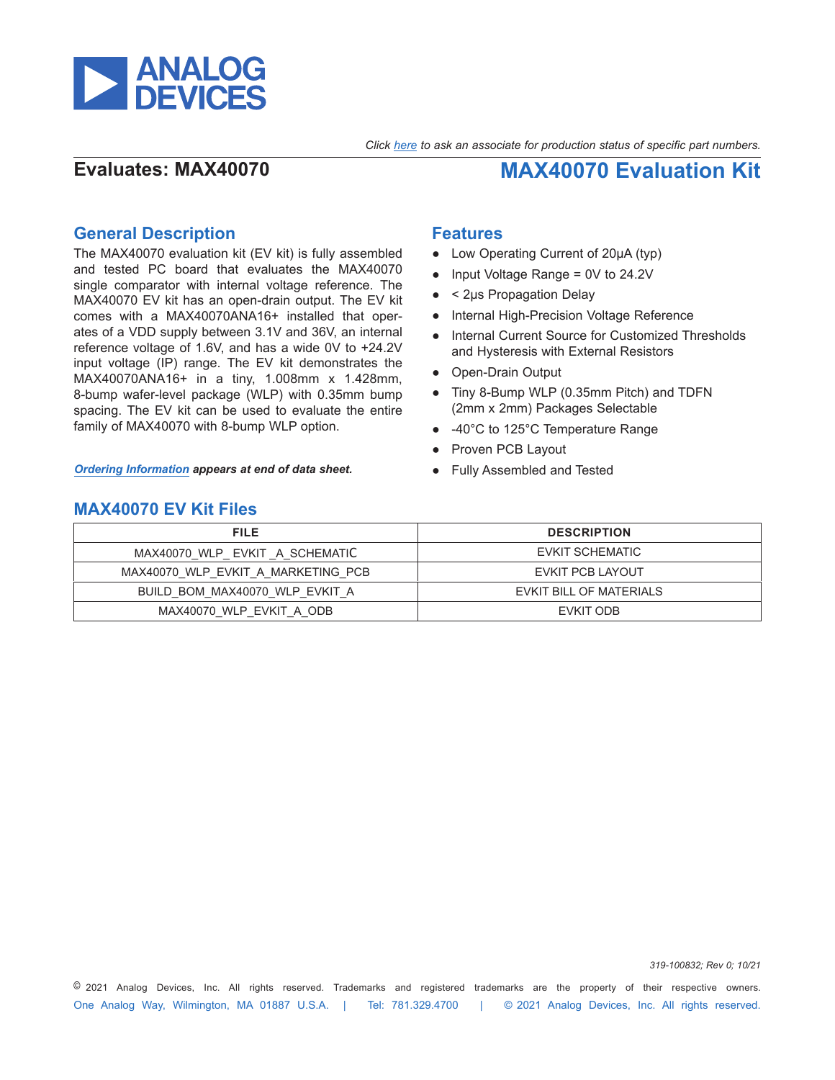

*Click [here](https://www.maximintegrated.com/en/storefront/storefront.html) to ask an associate for production status of specific part numbers.*

**Evaluates: MAX40070 MAX40070 Evaluation Kit**

## **General Description**

The MAX40070 evaluation kit (EV kit) is fully assembled and tested PC board that evaluates the MAX40070 single comparator with internal voltage reference. The MAX40070 EV kit has an open-drain output. The EV kit comes with a MAX40070ANA16+ installed that operates of a VDD supply between 3.1V and 36V, an internal reference voltage of 1.6V, and has a wide 0V to +24.2V input voltage (IP) range. The EV kit demonstrates the MAX40070ANA16+ in a tiny, 1.008mm x 1.428mm, 8-bump wafer-level package (WLP) with 0.35mm bump spacing. The EV kit can be used to evaluate the entire family of MAX40070 with 8-bump WLP option.

*[Ordering Information](#page-2-0) appears at end of data sheet.*

### **Features**

- Low Operating Current of 20µA (typ)
- Input Voltage Range =  $0V$  to 24.2V
- < 2µs Propagation Delay
- Internal High-Precision Voltage Reference
- Internal Current Source for Customized Thresholds and Hysteresis with External Resistors
- Open-Drain Output
- Tiny 8-Bump WLP (0.35mm Pitch) and TDFN (2mm x 2mm) Packages Selectable
- -40°C to 125°C Temperature Range
- Proven PCB Layout
- Fully Assembled and Tested

### **MAX40070 EV Kit Files**

| <b>FILE</b>                        | <b>DESCRIPTION</b>      |
|------------------------------------|-------------------------|
| MAX40070 WLP EVKIT A SCHEMATIC     | EVKIT SCHEMATIC         |
| MAX40070 WLP EVKIT A MARKETING PCB | EVKIT PCB LAYOUT        |
| BUILD BOM MAX40070 WLP EVKIT A     | EVKIT BILL OF MATERIALS |
| MAX40070 WLP EVKIT A ODB           | EVKIT ODB               |

One Analog Way, Wilmington, MA 01887 U.S.A. | Tel: 781.329.4700 | © 2021 Analog Devices, Inc. All rights reserved. © 2021 Analog Devices, Inc. All rights reserved. Trademarks and registered trademarks are the property of their respective owners.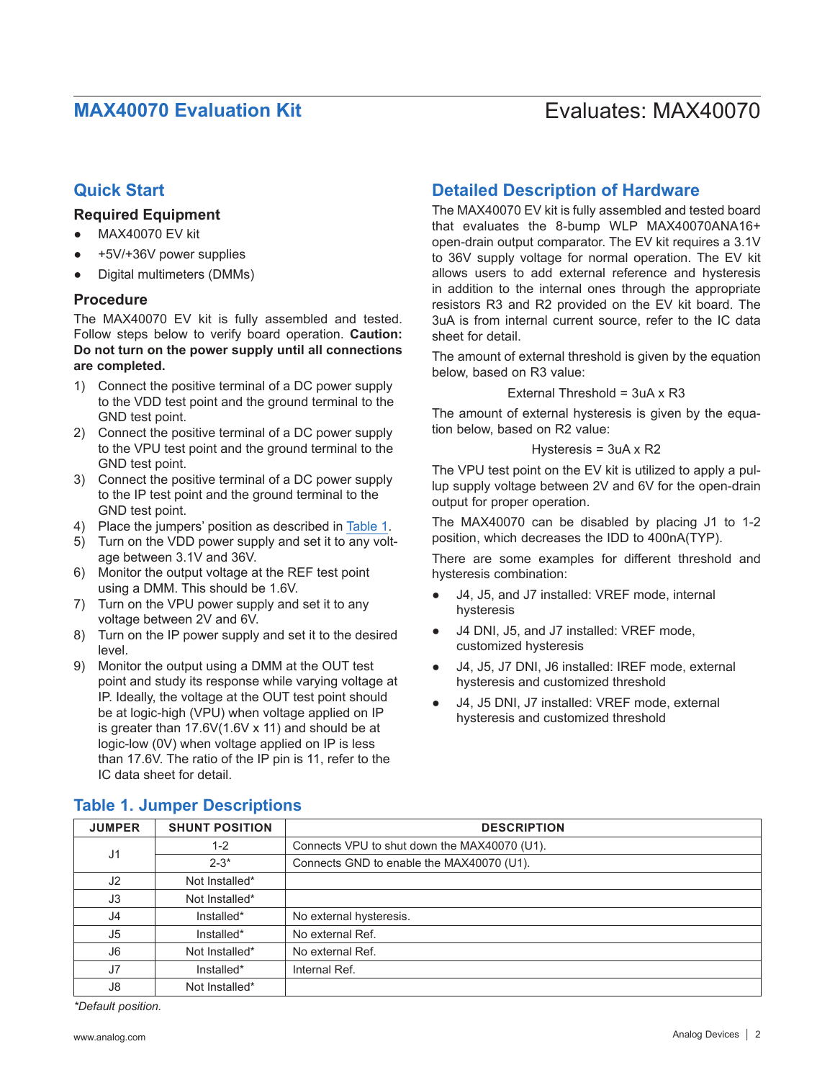# **MAX40070 Evaluation Kit Evaluation Kit** Evaluates: MAX40070

## **Quick Start**

### **Required Equipment**

- MAX40070 EV kit
- +5V/+36V power supplies
- Digital multimeters (DMMs)

### **Procedure**

The MAX40070 EV kit is fully assembled and tested. Follow steps below to verify board operation. **Caution: Do not turn on the power supply until all connections are completed.**

- 1) Connect the positive terminal of a DC power supply to the VDD test point and the ground terminal to the GND test point.
- 2) Connect the positive terminal of a DC power supply to the VPU test point and the ground terminal to the GND test point.
- 3) Connect the positive terminal of a DC power supply to the IP test point and the ground terminal to the GND test point.
- 4) Place the jumpers' position as described in [Table 1.](#page-1-0)
- 5) Turn on the VDD power supply and set it to any voltage between 3.1V and 36V.
- 6) Monitor the output voltage at the REF test point using a DMM. This should be 1.6V.
- 7) Turn on the VPU power supply and set it to any voltage between 2V and 6V.
- 8) Turn on the IP power supply and set it to the desired level.
- 9) Monitor the output using a DMM at the OUT test point and study its response while varying voltage at IP. Ideally, the voltage at the OUT test point should be at logic-high (VPU) when voltage applied on IP is greater than 17.6V(1.6V x 11) and should be at logic-low (0V) when voltage applied on IP is less than 17.6V. The ratio of the IP pin is 11, refer to the IC data sheet for detail.

## **Detailed Description of Hardware**

The MAX40070 EV kit is fully assembled and tested board that evaluates the 8-bump WLP MAX40070ANA16+ open-drain output comparator. The EV kit requires a 3.1V to 36V supply voltage for normal operation. The EV kit allows users to add external reference and hysteresis in addition to the internal ones through the appropriate resistors R3 and R2 provided on the EV kit board. The 3uA is from internal current source, refer to the IC data sheet for detail.

The amount of external threshold is given by the equation below, based on R3 value:

### External Threshold = 3uA x R3

The amount of external hysteresis is given by the equation below, based on R2 value:

### Hysteresis = 3uA x R2

The VPU test point on the EV kit is utilized to apply a pullup supply voltage between 2V and 6V for the open-drain output for proper operation.

The MAX40070 can be disabled by placing J1 to 1-2 position, which decreases the IDD to 400nA(TYP).

There are some examples for different threshold and hysteresis combination:

- J4, J5, and J7 installed: VREF mode, internal hysteresis
- J4 DNI, J5, and J7 installed: VREF mode, customized hysteresis
- J4, J5, J7 DNI, J6 installed: IREF mode, external hysteresis and customized threshold
- J4, J5 DNI, J7 installed: VREF mode, external hysteresis and customized threshold

| <b>JUMPER</b>  | <b>SHUNT POSITION</b> | <b>DESCRIPTION</b>                           |  |  |  |  |
|----------------|-----------------------|----------------------------------------------|--|--|--|--|
| J <sub>1</sub> | $1 - 2$               | Connects VPU to shut down the MAX40070 (U1). |  |  |  |  |
|                | $2 - 3^*$             | Connects GND to enable the MAX40070 (U1).    |  |  |  |  |
| J <sub>2</sub> | Not Installed*        |                                              |  |  |  |  |
| J3             | Not Installed*        |                                              |  |  |  |  |
| J4             | Installed*            | No external hysteresis.                      |  |  |  |  |
| J5             | Installed*            | No external Ref.                             |  |  |  |  |
| J6             | Not Installed*        | No external Ref.                             |  |  |  |  |
| J7             | Installed*            | Internal Ref.                                |  |  |  |  |
| J8             | Not Installed*        |                                              |  |  |  |  |

## <span id="page-1-0"></span>**Table 1. Jumper Descriptions**

*\*Default position.*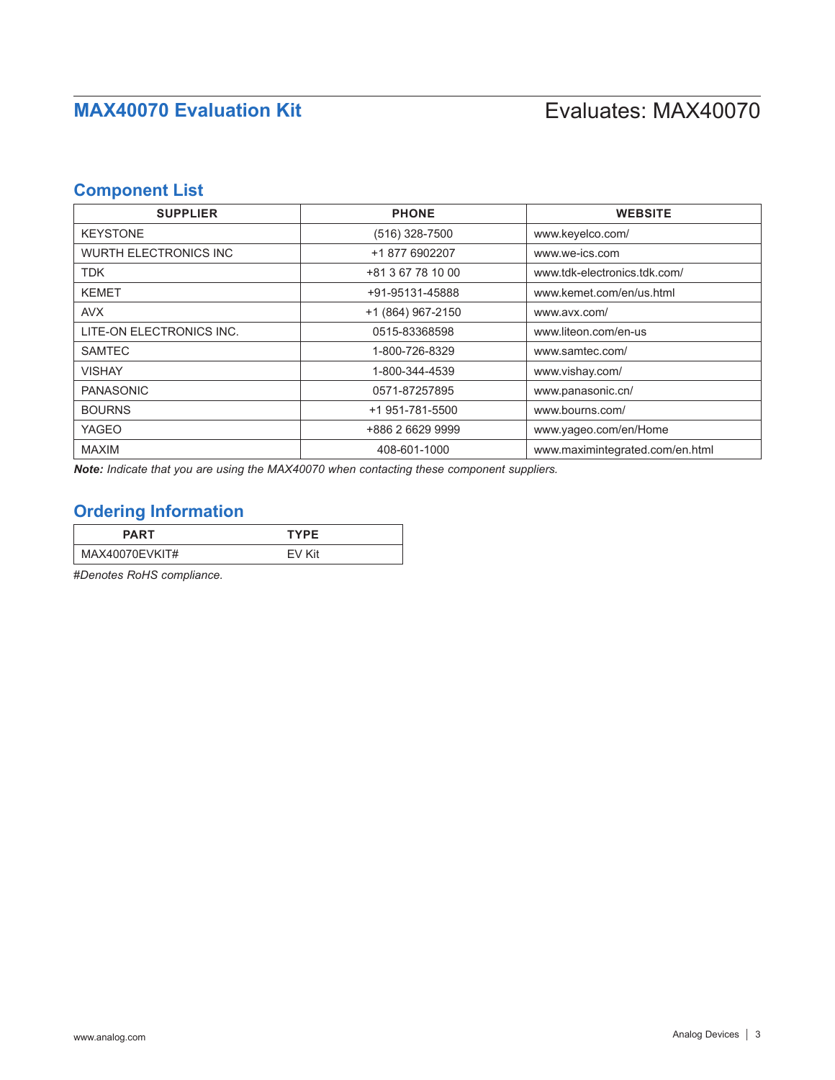# **Component List**

| <b>SUPPLIER</b>               | <b>PHONE</b>      | <b>WEBSITE</b>                  |
|-------------------------------|-------------------|---------------------------------|
| <b>KEYSTONE</b>               | $(516)$ 328-7500  | www.keyelco.com/                |
| <b>WURTH ELECTRONICS INC.</b> | +1 877 6902207    | www.we-ics.com                  |
| <b>TDK</b>                    | +81 3 67 78 10 00 | www.tdk-electronics.tdk.com/    |
| <b>KEMET</b>                  | +91-95131-45888   | www.kemet.com/en/us.html        |
| <b>AVX</b>                    | +1 (864) 967-2150 | www.avx.com/                    |
| LITE-ON ELECTRONICS INC.      | 0515-83368598     | www.liteon.com/en-us            |
| <b>SAMTEC</b>                 | 1-800-726-8329    | www.samtec.com/                 |
| <b>VISHAY</b>                 | 1-800-344-4539    | www.vishay.com/                 |
| <b>PANASONIC</b>              | 0571-87257895     | www.panasonic.cn/               |
| <b>BOURNS</b>                 | +1 951-781-5500   | www.bourns.com/                 |
| <b>YAGEO</b>                  | +886 2 6629 9999  | www.yageo.com/en/Home           |
| <b>MAXIM</b>                  | 408-601-1000      | www.maximintegrated.com/en.html |

*Note: Indicate that you are using the MAX40070 when contacting these component suppliers.*

## <span id="page-2-0"></span>**Ordering Information**

| <b>PART</b>    | <b>TYPF</b> |  |
|----------------|-------------|--|
| MAX40070EVKIT# | FV Kit      |  |

#*Denotes RoHS compliance.*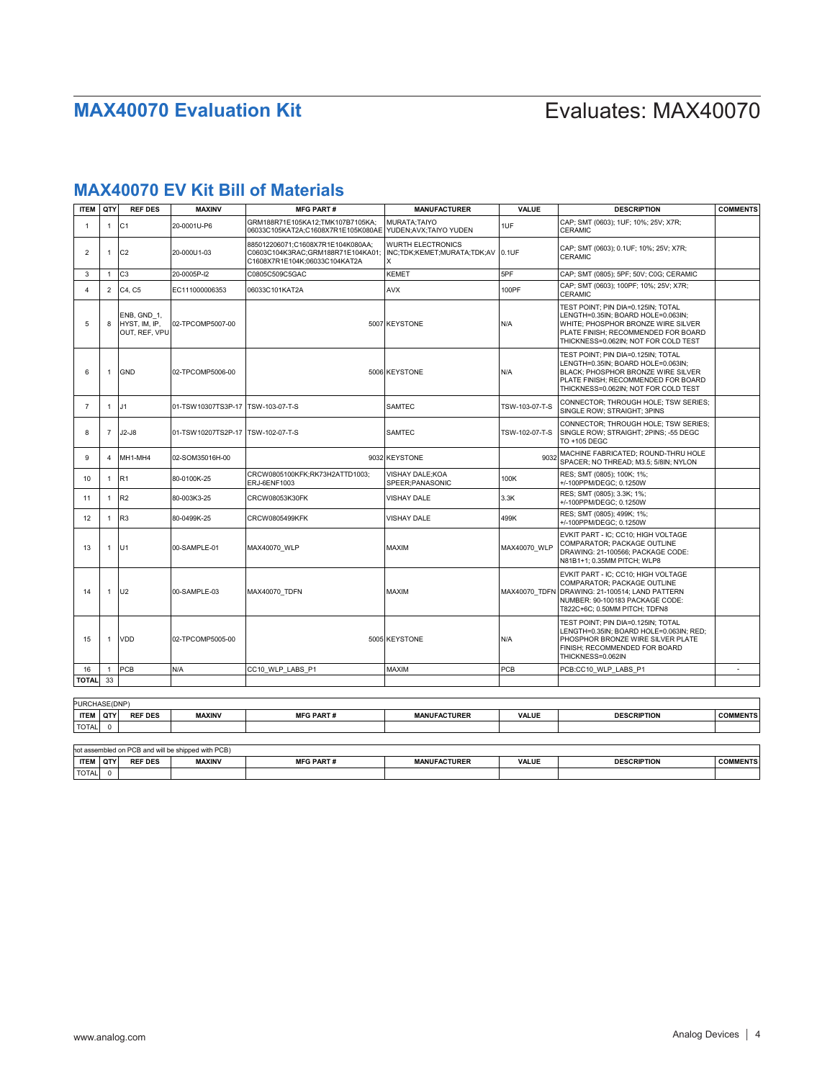# **MAX40070 EV Kit Bill of Materials**

| CAP: SMT (0603): 1UF: 10%: 25V: X7R:<br>GRM188R71E105KA12:TMK107B7105KA:<br><b>MURATA:TAIYO</b><br>C <sub>1</sub><br>20-0001U-P6<br>1UF<br>1<br>-1<br><b>CERAMIC</b><br>06033C105KAT2A;C1608X7R1E105K080AE YUDEN;AVX;TAIYO YUDEN<br>885012206071;C1608X7R1E104K080AA;<br><b>WURTH ELECTRONICS</b><br>CAP; SMT (0603); 0.1UF; 10%; 25V; X7R;<br>$\overline{2}$<br>C <sub>2</sub><br>20-000U1-03<br>0.1UF<br>C0603C104K3RAC;GRM188R71E104KA01;<br>INC;TDK;KEMET;MURATA;TDK;AV<br>1<br><b>CERAMIC</b><br>C1608X7R1E104K;06033C104KAT2A<br>C <sub>3</sub><br>20-0005P-I2<br><b>KEMET</b><br>5PF<br>3<br>$\mathbf{1}$<br>C0805C509C5GAC<br>CAP; SMT (0805); 5PF; 50V; C0G; CERAMIC<br>CAP; SMT (0603); 100PF; 10%; 25V; X7R;<br>$\overline{2}$<br>C4. C5<br>AVX<br>100PF<br>EC111000006353<br>06033C101KAT2A<br>4<br><b>CERAMIC</b><br>TEST POINT; PIN DIA=0.125IN; TOTAL<br>LENGTH=0.35IN; BOARD HOLE=0.063IN;<br>ENB, GND 1,<br>5<br>8<br>HYST. IM. IP.<br>02-TPCOMP5007-00<br>5007 KEYSTONE<br>N/A<br>WHITE; PHOSPHOR BRONZE WIRE SILVER<br>OUT, REF, VPU<br>PLATE FINISH; RECOMMENDED FOR BOARD<br>THICKNESS=0.062IN; NOT FOR COLD TEST<br>TEST POINT; PIN DIA=0.125IN; TOTAL<br>LENGTH=0.35IN; BOARD HOLE=0.063IN;<br><b>GND</b><br>6<br>02-TPCOMP5006-00<br>5006 KEYSTONE<br>N/A<br>BLACK; PHOSPHOR BRONZE WIRE SILVER<br>1<br>PLATE FINISH: RECOMMENDED FOR BOARD<br>THICKNESS=0.062IN; NOT FOR COLD TEST<br>CONNECTOR; THROUGH HOLE; TSW SERIES;<br>J1<br>01-TSW10307TS3P-17<br>TSW-103-07-T-S<br><b>SAMTEC</b><br>TSW-103-07-T-S<br>$\overline{7}$<br>1<br>SINGLE ROW; STRAIGHT; 3PINS<br>CONNECTOR; THROUGH HOLE; TSW SERIES;<br>$J2-J8$<br>8<br>$\overline{7}$<br>01-TSW10207TS2P-17<br>TSW-102-07-T-S<br><b>SAMTEC</b><br>TSW-102-07-T-S<br>SINGLE ROW; STRAIGHT; 2PINS; -55 DEGC<br>TO +105 DEGC<br>MACHINE FABRICATED; ROUND-THRU HOLE<br>9<br>MH1-MH4<br>02-SOM35016H-00<br>9032 KEYSTONE<br>9032<br>4<br>SPACER; NO THREAD; M3.5; 5/8IN; NYLON<br>CRCW0805100KFK;RK73H2ATTD1003;<br>VISHAY DALE:KOA<br>RES; SMT (0805); 100K; 1%;<br>R1<br>100K<br>80-0100K-25<br>10<br>1<br>ERJ-6ENF1003<br>SPEER;PANASONIC<br>+/-100PPM/DEGC: 0.1250W<br>RES; SMT (0805); 3.3K; 1%;<br>R2<br>80-003K3-25<br>3.3K<br>CRCW08053K30FK<br><b>VISHAY DALE</b><br>11<br>1<br>+/-100PPM/DEGC; 0.1250W<br>RES; SMT (0805); 499K; 1%;<br>R <sub>3</sub><br>80-0499K-25<br>VISHAY DALE<br>499K<br>12<br>$\overline{1}$<br>CRCW0805499KFK<br>+/-100PPM/DEGC; 0.1250W<br>EVKIT PART - IC: CC10: HIGH VOLTAGE<br>COMPARATOR: PACKAGE OUTLINE<br>U1<br>MAX40070 WLP<br>13<br>00-SAMPLE-01<br>MAX40070 WLP<br>MAXIM<br>1<br>DRAWING: 21-100566; PACKAGE CODE:<br>N81B1+1; 0.35MM PITCH; WLP8<br>EVKIT PART - IC; CC10; HIGH VOLTAGE<br>COMPARATOR; PACKAGE OUTLINE<br>U <sub>2</sub><br>14<br>00-SAMPLE-03<br>MAX40070_TDFN<br><b>MAXIM</b><br>MAX40070 TDFN DRAWING: 21-100514; LAND PATTERN<br>NUMBER: 90-100183 PACKAGE CODE:<br>T822C+6C; 0.50MM PITCH; TDFN8<br>TEST POINT; PIN DIA=0.125IN; TOTAL<br>LENGTH=0.35IN; BOARD HOLE=0.063IN; RED;<br><b>VDD</b><br>5005 KEYSTONE<br>N/A<br>PHOSPHOR BRONZE WIRE SILVER PLATE<br>15<br>02-TPCOMP5005-00<br>1<br>FINISH; RECOMMENDED FOR BOARD<br>THICKNESS=0.062IN<br>PCB<br>PCB<br>N/A<br>CC10 WLP LABS P1<br>MAXIM<br>PCB:CC10 WLP LABS P1<br>16<br>$\overline{1}$<br>33<br><b>TOTAL</b> | <b>ITEM</b> | QTY | <b>REF DES</b> | <b>MAXINV</b> | <b>MFG PART#</b> | <b>MANUFACTURER</b> | <b>VALUE</b> | <b>DESCRIPTION</b> | <b>COMMENTS</b> |
|--------------------------------------------------------------------------------------------------------------------------------------------------------------------------------------------------------------------------------------------------------------------------------------------------------------------------------------------------------------------------------------------------------------------------------------------------------------------------------------------------------------------------------------------------------------------------------------------------------------------------------------------------------------------------------------------------------------------------------------------------------------------------------------------------------------------------------------------------------------------------------------------------------------------------------------------------------------------------------------------------------------------------------------------------------------------------------------------------------------------------------------------------------------------------------------------------------------------------------------------------------------------------------------------------------------------------------------------------------------------------------------------------------------------------------------------------------------------------------------------------------------------------------------------------------------------------------------------------------------------------------------------------------------------------------------------------------------------------------------------------------------------------------------------------------------------------------------------------------------------------------------------------------------------------------------------------------------------------------------------------------------------------------------------------------------------------------------------------------------------------------------------------------------------------------------------------------------------------------------------------------------------------------------------------------------------------------------------------------------------------------------------------------------------------------------------------------------------------------------------------------------------------------------------------------------------------------------------------------------------------------------------------------------------------------------------------------------------------------------------------------------------------------------------------------------------------------------------------------------------------------------------------------------------------------------------------------------------------------------------------------------------------------------------------------------------------------------------------------------------------------------------------------------------------------------------------------------------------------------------------------------------------------------------------------------------------|-------------|-----|----------------|---------------|------------------|---------------------|--------------|--------------------|-----------------|
|                                                                                                                                                                                                                                                                                                                                                                                                                                                                                                                                                                                                                                                                                                                                                                                                                                                                                                                                                                                                                                                                                                                                                                                                                                                                                                                                                                                                                                                                                                                                                                                                                                                                                                                                                                                                                                                                                                                                                                                                                                                                                                                                                                                                                                                                                                                                                                                                                                                                                                                                                                                                                                                                                                                                                                                                                                                                                                                                                                                                                                                                                                                                                                                                                                                                                                                          |             |     |                |               |                  |                     |              |                    |                 |
|                                                                                                                                                                                                                                                                                                                                                                                                                                                                                                                                                                                                                                                                                                                                                                                                                                                                                                                                                                                                                                                                                                                                                                                                                                                                                                                                                                                                                                                                                                                                                                                                                                                                                                                                                                                                                                                                                                                                                                                                                                                                                                                                                                                                                                                                                                                                                                                                                                                                                                                                                                                                                                                                                                                                                                                                                                                                                                                                                                                                                                                                                                                                                                                                                                                                                                                          |             |     |                |               |                  |                     |              |                    |                 |
|                                                                                                                                                                                                                                                                                                                                                                                                                                                                                                                                                                                                                                                                                                                                                                                                                                                                                                                                                                                                                                                                                                                                                                                                                                                                                                                                                                                                                                                                                                                                                                                                                                                                                                                                                                                                                                                                                                                                                                                                                                                                                                                                                                                                                                                                                                                                                                                                                                                                                                                                                                                                                                                                                                                                                                                                                                                                                                                                                                                                                                                                                                                                                                                                                                                                                                                          |             |     |                |               |                  |                     |              |                    |                 |
|                                                                                                                                                                                                                                                                                                                                                                                                                                                                                                                                                                                                                                                                                                                                                                                                                                                                                                                                                                                                                                                                                                                                                                                                                                                                                                                                                                                                                                                                                                                                                                                                                                                                                                                                                                                                                                                                                                                                                                                                                                                                                                                                                                                                                                                                                                                                                                                                                                                                                                                                                                                                                                                                                                                                                                                                                                                                                                                                                                                                                                                                                                                                                                                                                                                                                                                          |             |     |                |               |                  |                     |              |                    |                 |
|                                                                                                                                                                                                                                                                                                                                                                                                                                                                                                                                                                                                                                                                                                                                                                                                                                                                                                                                                                                                                                                                                                                                                                                                                                                                                                                                                                                                                                                                                                                                                                                                                                                                                                                                                                                                                                                                                                                                                                                                                                                                                                                                                                                                                                                                                                                                                                                                                                                                                                                                                                                                                                                                                                                                                                                                                                                                                                                                                                                                                                                                                                                                                                                                                                                                                                                          |             |     |                |               |                  |                     |              |                    |                 |
|                                                                                                                                                                                                                                                                                                                                                                                                                                                                                                                                                                                                                                                                                                                                                                                                                                                                                                                                                                                                                                                                                                                                                                                                                                                                                                                                                                                                                                                                                                                                                                                                                                                                                                                                                                                                                                                                                                                                                                                                                                                                                                                                                                                                                                                                                                                                                                                                                                                                                                                                                                                                                                                                                                                                                                                                                                                                                                                                                                                                                                                                                                                                                                                                                                                                                                                          |             |     |                |               |                  |                     |              |                    |                 |
|                                                                                                                                                                                                                                                                                                                                                                                                                                                                                                                                                                                                                                                                                                                                                                                                                                                                                                                                                                                                                                                                                                                                                                                                                                                                                                                                                                                                                                                                                                                                                                                                                                                                                                                                                                                                                                                                                                                                                                                                                                                                                                                                                                                                                                                                                                                                                                                                                                                                                                                                                                                                                                                                                                                                                                                                                                                                                                                                                                                                                                                                                                                                                                                                                                                                                                                          |             |     |                |               |                  |                     |              |                    |                 |
|                                                                                                                                                                                                                                                                                                                                                                                                                                                                                                                                                                                                                                                                                                                                                                                                                                                                                                                                                                                                                                                                                                                                                                                                                                                                                                                                                                                                                                                                                                                                                                                                                                                                                                                                                                                                                                                                                                                                                                                                                                                                                                                                                                                                                                                                                                                                                                                                                                                                                                                                                                                                                                                                                                                                                                                                                                                                                                                                                                                                                                                                                                                                                                                                                                                                                                                          |             |     |                |               |                  |                     |              |                    |                 |
|                                                                                                                                                                                                                                                                                                                                                                                                                                                                                                                                                                                                                                                                                                                                                                                                                                                                                                                                                                                                                                                                                                                                                                                                                                                                                                                                                                                                                                                                                                                                                                                                                                                                                                                                                                                                                                                                                                                                                                                                                                                                                                                                                                                                                                                                                                                                                                                                                                                                                                                                                                                                                                                                                                                                                                                                                                                                                                                                                                                                                                                                                                                                                                                                                                                                                                                          |             |     |                |               |                  |                     |              |                    |                 |
|                                                                                                                                                                                                                                                                                                                                                                                                                                                                                                                                                                                                                                                                                                                                                                                                                                                                                                                                                                                                                                                                                                                                                                                                                                                                                                                                                                                                                                                                                                                                                                                                                                                                                                                                                                                                                                                                                                                                                                                                                                                                                                                                                                                                                                                                                                                                                                                                                                                                                                                                                                                                                                                                                                                                                                                                                                                                                                                                                                                                                                                                                                                                                                                                                                                                                                                          |             |     |                |               |                  |                     |              |                    |                 |
|                                                                                                                                                                                                                                                                                                                                                                                                                                                                                                                                                                                                                                                                                                                                                                                                                                                                                                                                                                                                                                                                                                                                                                                                                                                                                                                                                                                                                                                                                                                                                                                                                                                                                                                                                                                                                                                                                                                                                                                                                                                                                                                                                                                                                                                                                                                                                                                                                                                                                                                                                                                                                                                                                                                                                                                                                                                                                                                                                                                                                                                                                                                                                                                                                                                                                                                          |             |     |                |               |                  |                     |              |                    |                 |
|                                                                                                                                                                                                                                                                                                                                                                                                                                                                                                                                                                                                                                                                                                                                                                                                                                                                                                                                                                                                                                                                                                                                                                                                                                                                                                                                                                                                                                                                                                                                                                                                                                                                                                                                                                                                                                                                                                                                                                                                                                                                                                                                                                                                                                                                                                                                                                                                                                                                                                                                                                                                                                                                                                                                                                                                                                                                                                                                                                                                                                                                                                                                                                                                                                                                                                                          |             |     |                |               |                  |                     |              |                    |                 |
|                                                                                                                                                                                                                                                                                                                                                                                                                                                                                                                                                                                                                                                                                                                                                                                                                                                                                                                                                                                                                                                                                                                                                                                                                                                                                                                                                                                                                                                                                                                                                                                                                                                                                                                                                                                                                                                                                                                                                                                                                                                                                                                                                                                                                                                                                                                                                                                                                                                                                                                                                                                                                                                                                                                                                                                                                                                                                                                                                                                                                                                                                                                                                                                                                                                                                                                          |             |     |                |               |                  |                     |              |                    |                 |
|                                                                                                                                                                                                                                                                                                                                                                                                                                                                                                                                                                                                                                                                                                                                                                                                                                                                                                                                                                                                                                                                                                                                                                                                                                                                                                                                                                                                                                                                                                                                                                                                                                                                                                                                                                                                                                                                                                                                                                                                                                                                                                                                                                                                                                                                                                                                                                                                                                                                                                                                                                                                                                                                                                                                                                                                                                                                                                                                                                                                                                                                                                                                                                                                                                                                                                                          |             |     |                |               |                  |                     |              |                    |                 |
|                                                                                                                                                                                                                                                                                                                                                                                                                                                                                                                                                                                                                                                                                                                                                                                                                                                                                                                                                                                                                                                                                                                                                                                                                                                                                                                                                                                                                                                                                                                                                                                                                                                                                                                                                                                                                                                                                                                                                                                                                                                                                                                                                                                                                                                                                                                                                                                                                                                                                                                                                                                                                                                                                                                                                                                                                                                                                                                                                                                                                                                                                                                                                                                                                                                                                                                          |             |     |                |               |                  |                     |              |                    |                 |
|                                                                                                                                                                                                                                                                                                                                                                                                                                                                                                                                                                                                                                                                                                                                                                                                                                                                                                                                                                                                                                                                                                                                                                                                                                                                                                                                                                                                                                                                                                                                                                                                                                                                                                                                                                                                                                                                                                                                                                                                                                                                                                                                                                                                                                                                                                                                                                                                                                                                                                                                                                                                                                                                                                                                                                                                                                                                                                                                                                                                                                                                                                                                                                                                                                                                                                                          |             |     |                |               |                  |                     |              |                    | ÷.              |
|                                                                                                                                                                                                                                                                                                                                                                                                                                                                                                                                                                                                                                                                                                                                                                                                                                                                                                                                                                                                                                                                                                                                                                                                                                                                                                                                                                                                                                                                                                                                                                                                                                                                                                                                                                                                                                                                                                                                                                                                                                                                                                                                                                                                                                                                                                                                                                                                                                                                                                                                                                                                                                                                                                                                                                                                                                                                                                                                                                                                                                                                                                                                                                                                                                                                                                                          |             |     |                |               |                  |                     |              |                    |                 |
|                                                                                                                                                                                                                                                                                                                                                                                                                                                                                                                                                                                                                                                                                                                                                                                                                                                                                                                                                                                                                                                                                                                                                                                                                                                                                                                                                                                                                                                                                                                                                                                                                                                                                                                                                                                                                                                                                                                                                                                                                                                                                                                                                                                                                                                                                                                                                                                                                                                                                                                                                                                                                                                                                                                                                                                                                                                                                                                                                                                                                                                                                                                                                                                                                                                                                                                          |             |     |                |               |                  |                     |              |                    |                 |

| <b>ITEM</b>  | . Готу | <b>REF DES</b> | <b>MAXINV</b> | <b>MFG PART#</b> | <b>MANUFACTURER</b> | <b>VALUE</b> | <b>DESCRIPTION</b> | <b>COMMENTS</b> |
|--------------|--------|----------------|---------------|------------------|---------------------|--------------|--------------------|-----------------|
| <b>TOTAL</b> |        |                |               |                  |                     |              |                    |                 |

| ot assembled on PCB and will be shipped with PCB). |      |                |               |                  |                     |              |                    |                 |
|----------------------------------------------------|------|----------------|---------------|------------------|---------------------|--------------|--------------------|-----------------|
| <b>ITEM</b>                                        | I QT | <b>REF DES</b> | <b>MAXINV</b> | <b>MFG PART#</b> | <b>MANUFACTURER</b> | <b>VALUE</b> | <b>DESCRIPTION</b> | <b>COMMENTS</b> |
| <b>TOTAL</b>                                       |      |                |               |                  |                     |              |                    |                 |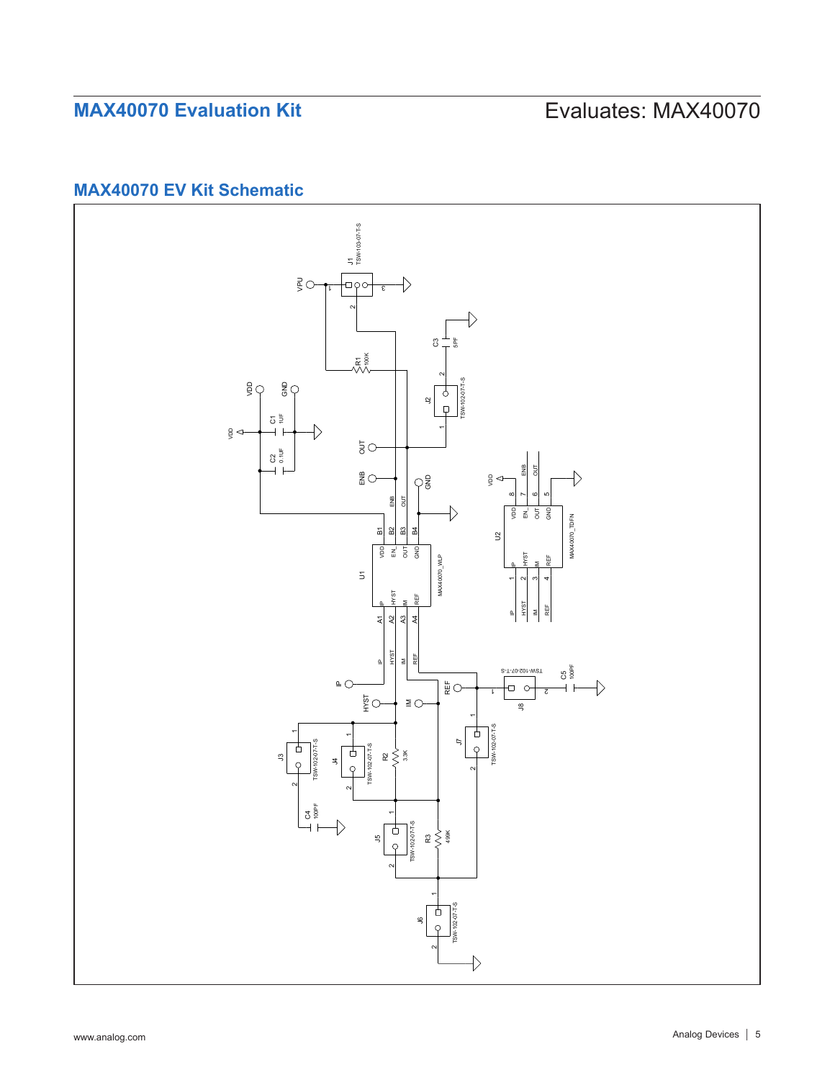# **MAX40070 EV Kit Schematic**

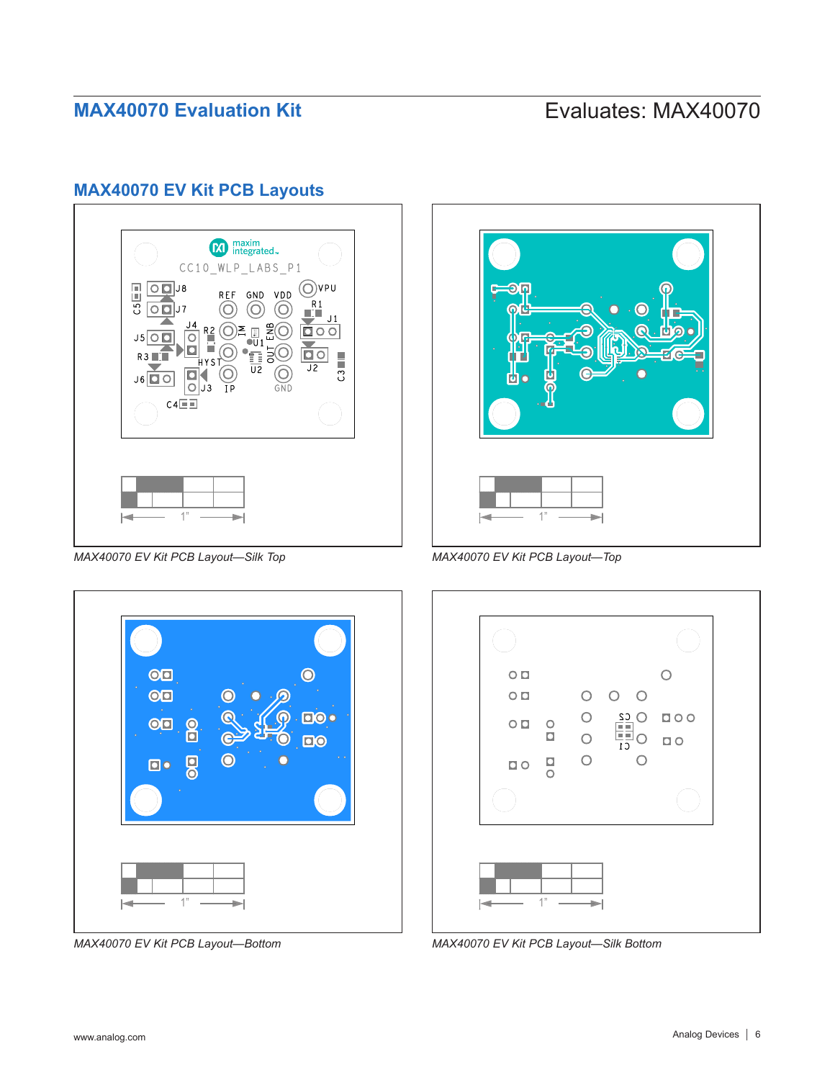## **MAX40070 EV Kit PCB Layouts**



*MAX40070 EV Kit PCB Layout—Silk Top*



*MAX40070 EV Kit PCB Layout—Bottom*



*MAX40070 EV Kit PCB Layout—Top*

| $\circ$        |                                    |                                         |                   |                       |  |
|----------------|------------------------------------|-----------------------------------------|-------------------|-----------------------|--|
| $\overline{O}$ |                                    | $\bigcirc$                              | $O$ $O$           |                       |  |
| O <sub>D</sub> | $\circ$<br>$\overline{\mathbf{C}}$ | $\begin{array}{c}\n0 \\ 0\n\end{array}$ | $\frac{C_2}{C_1}$ | $\Box$ circ<br>$\Box$ |  |
| $\Box$ $\circ$ | $\frac{D}{D}$                      | $\overline{O}$                          |                   |                       |  |
|                |                                    |                                         |                   |                       |  |
|                | 1"                                 |                                         |                   |                       |  |

*MAX40070 EV Kit PCB Layout—Silk Bottom*